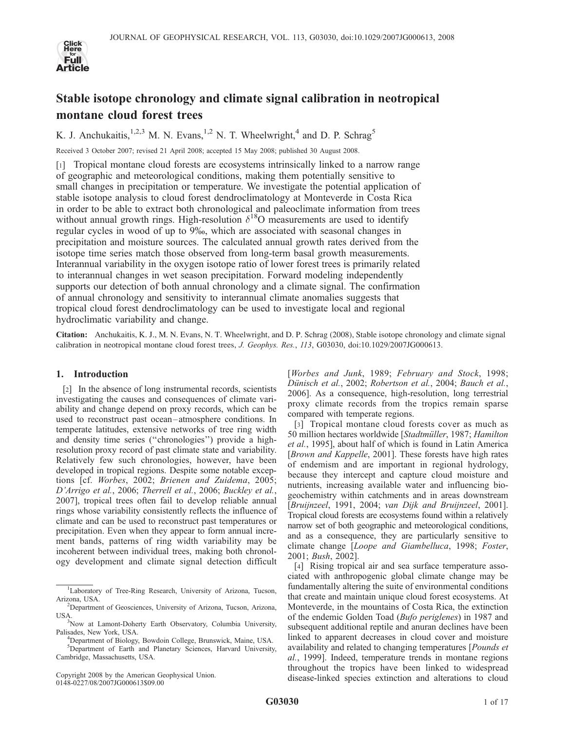

# Stable isotope chronology and climate signal calibration in neotropical montane cloud forest trees

K. J. Anchukaitis,<sup>1,2,3</sup> M. N. Evans,<sup>1,2</sup> N. T. Wheelwright,<sup>4</sup> and D. P. Schrag<sup>5</sup>

Received 3 October 2007; revised 21 April 2008; accepted 15 May 2008; published 30 August 2008.

[1] Tropical montane cloud forests are ecosystems intrinsically linked to a narrow range of geographic and meteorological conditions, making them potentially sensitive to small changes in precipitation or temperature. We investigate the potential application of stable isotope analysis to cloud forest dendroclimatology at Monteverde in Costa Rica in order to be able to extract both chronological and paleoclimate information from trees without annual growth rings. High-resolution  $\delta^{18}$ O measurements are used to identify regular cycles in wood of up to 9%, which are associated with seasonal changes in precipitation and moisture sources. The calculated annual growth rates derived from the isotope time series match those observed from long-term basal growth measurements. Interannual variability in the oxygen isotope ratio of lower forest trees is primarily related to interannual changes in wet season precipitation. Forward modeling independently supports our detection of both annual chronology and a climate signal. The confirmation of annual chronology and sensitivity to interannual climate anomalies suggests that tropical cloud forest dendroclimatology can be used to investigate local and regional hydroclimatic variability and change.

Citation: Anchukaitis, K. J., M. N. Evans, N. T. Wheelwright, and D. P. Schrag (2008), Stable isotope chronology and climate signal calibration in neotropical montane cloud forest trees, J. Geophys. Res., 113, G03030, doi:10.1029/2007JG000613.

## 1. Introduction

[2] In the absence of long instrumental records, scientists investigating the causes and consequences of climate variability and change depend on proxy records, which can be used to reconstruct past ocean –atmosphere conditions. In temperate latitudes, extensive networks of tree ring width and density time series (''chronologies'') provide a highresolution proxy record of past climate state and variability. Relatively few such chronologies, however, have been developed in tropical regions. Despite some notable exceptions [cf. Worbes, 2002; Brienen and Zuidema, 2005; D'Arrigo et al., 2006; Therrell et al., 2006; Buckley et al., 2007], tropical trees often fail to develop reliable annual rings whose variability consistently reflects the influence of climate and can be used to reconstruct past temperatures or precipitation. Even when they appear to form annual increment bands, patterns of ring width variability may be incoherent between individual trees, making both chronology development and climate signal detection difficult

Copyright 2008 by the American Geophysical Union. 0148-0227/08/2007JG000613\$09.00

[Worbes and Junk, 1989; February and Stock, 1998; Dünisch et al., 2002; Robertson et al., 2004; Bauch et al., 2006]. As a consequence, high-resolution, long terrestrial proxy climate records from the tropics remain sparse compared with temperate regions.

[3] Tropical montane cloud forests cover as much as 50 million hectares worldwide [Stadtmüller, 1987; Hamilton et al., 1995], about half of which is found in Latin America [Brown and Kappelle, 2001]. These forests have high rates of endemism and are important in regional hydrology, because they intercept and capture cloud moisture and nutrients, increasing available water and influencing biogeochemistry within catchments and in areas downstream [Bruijnzeel, 1991, 2004; van Dijk and Bruijnzeel, 2001]. Tropical cloud forests are ecosystems found within a relatively narrow set of both geographic and meteorological conditions, and as a consequence, they are particularly sensitive to climate change [Loope and Giambelluca, 1998; Foster, 2001; Bush, 2002].

[4] Rising tropical air and sea surface temperature associated with anthropogenic global climate change may be fundamentally altering the suite of environmental conditions that create and maintain unique cloud forest ecosystems. At Monteverde, in the mountains of Costa Rica, the extinction of the endemic Golden Toad (Bufo periglenes) in 1987 and subsequent additional reptile and anuran declines have been linked to apparent decreases in cloud cover and moisture availability and related to changing temperatures [Pounds et al., 1999]. Indeed, temperature trends in montane regions throughout the tropics have been linked to widespread disease-linked species extinction and alterations to cloud

<sup>&</sup>lt;sup>1</sup>Laboratory of Tree-Ring Research, University of Arizona, Tucson, Arizona, USA. <sup>2</sup>

Department of Geosciences, University of Arizona, Tucson, Arizona, USA

<sup>&</sup>lt;sup>3</sup>Now at Lamont-Doherty Earth Observatory, Columbia University, Palisades, New York, USA. <sup>4</sup>

<sup>&</sup>lt;sup>4</sup>Department of Biology, Bowdoin College, Brunswick, Maine, USA. 5 Department of Earth and Planetary Sciences, Harvard University, Cambridge, Massachusetts, USA.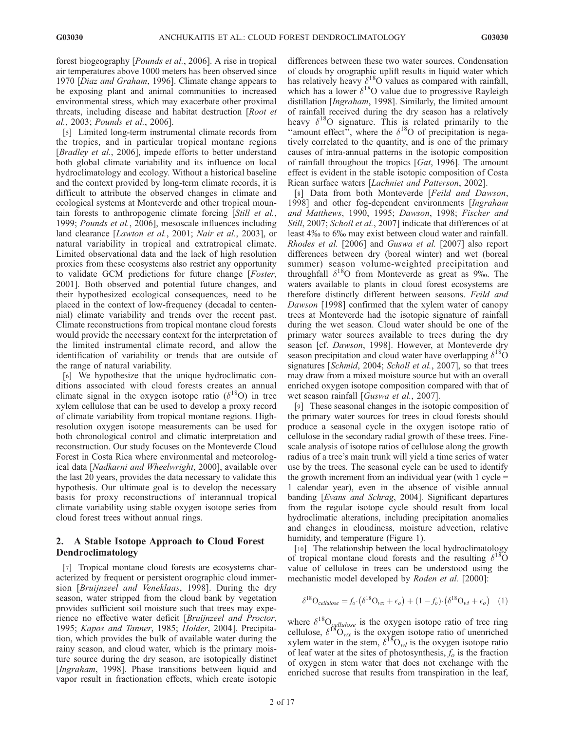forest biogeography [Pounds et al., 2006]. A rise in tropical air temperatures above 1000 meters has been observed since 1970 [Diaz and Graham, 1996]. Climate change appears to be exposing plant and animal communities to increased environmental stress, which may exacerbate other proximal threats, including disease and habitat destruction [Root et al., 2003; Pounds et al., 2006].

[5] Limited long-term instrumental climate records from the tropics, and in particular tropical montane regions [Bradley et al., 2006], impede efforts to better understand both global climate variability and its influence on local hydroclimatology and ecology. Without a historical baseline and the context provided by long-term climate records, it is difficult to attribute the observed changes in climate and ecological systems at Monteverde and other tropical mountain forests to anthropogenic climate forcing [Still et al., 1999; Pounds et al., 2006], mesoscale influences including land clearance [Lawton et al., 2001; Nair et al., 2003], or natural variability in tropical and extratropical climate. Limited observational data and the lack of high resolution proxies from these ecosystems also restrict any opportunity to validate GCM predictions for future change [Foster, 2001]. Both observed and potential future changes, and their hypothesized ecological consequences, need to be placed in the context of low-frequency (decadal to centennial) climate variability and trends over the recent past. Climate reconstructions from tropical montane cloud forests would provide the necessary context for the interpretation of the limited instrumental climate record, and allow the identification of variability or trends that are outside of the range of natural variability.

[6] We hypothesize that the unique hydroclimatic conditions associated with cloud forests creates an annual climate signal in the oxygen isotope ratio  $(\delta^{18}O)$  in tree xylem cellulose that can be used to develop a proxy record of climate variability from tropical montane regions. Highresolution oxygen isotope measurements can be used for both chronological control and climatic interpretation and reconstruction. Our study focuses on the Monteverde Cloud Forest in Costa Rica where environmental and meteorological data [Nadkarni and Wheelwright, 2000], available over the last 20 years, provides the data necessary to validate this hypothesis. Our ultimate goal is to develop the necessary basis for proxy reconstructions of interannual tropical climate variability using stable oxygen isotope series from cloud forest trees without annual rings.

## 2. A Stable Isotope Approach to Cloud Forest Dendroclimatology

[7] Tropical montane cloud forests are ecosystems characterized by frequent or persistent orographic cloud immersion [Bruijnzeel and Veneklaas, 1998]. During the dry season, water stripped from the cloud bank by vegetation provides sufficient soil moisture such that trees may experience no effective water deficit [Bruijnzeel and Proctor, 1995; Kapos and Tanner, 1985; Holder, 2004]. Precipitation, which provides the bulk of available water during the rainy season, and cloud water, which is the primary moisture source during the dry season, are isotopically distinct [Ingraham, 1998]. Phase transitions between liquid and vapor result in fractionation effects, which create isotopic differences between these two water sources. Condensation of clouds by orographic uplift results in liquid water which has relatively heavy  $\delta^{18}O$  values as compared with rainfall, which has a lower  $\delta^{18}$ O value due to progressive Rayleigh distillation [Ingraham, 1998]. Similarly, the limited amount of rainfall received during the dry season has a relatively heavy  $\delta^{18}$ O signature. This is related primarily to the "amount effect", where the  $\delta^{18}$ O of precipitation is negatively correlated to the quantity, and is one of the primary causes of intra-annual patterns in the isotopic composition of rainfall throughout the tropics [Gat, 1996]. The amount effect is evident in the stable isotopic composition of Costa Rican surface waters [Lachniet and Patterson, 2002].

[8] Data from both Monteverde [Feild and Dawson, 1998] and other fog-dependent environments [Ingraham and Matthews, 1990, 1995; Dawson, 1998; Fischer and Still, 2007; Scholl et al., 2007] indicate that differences of at least 4% to 6% may exist between cloud water and rainfall. Rhodes et al. [2006] and Guswa et al. [2007] also report differences between dry (boreal winter) and wet (boreal summer) season volume-weighted precipitation and throughfall  $\delta^{18}O$  from Monteverde as great as 9‰. The waters available to plants in cloud forest ecosystems are therefore distinctly different between seasons. Feild and Dawson [1998] confirmed that the xylem water of canopy trees at Monteverde had the isotopic signature of rainfall during the wet season. Cloud water should be one of the primary water sources available to trees during the dry season [cf. Dawson, 1998]. However, at Monteverde dry season precipitation and cloud water have overlapping  $\delta^{18}O$ signatures [Schmid, 2004; Scholl et al., 2007], so that trees may draw from a mixed moisture source but with an overall enriched oxygen isotope composition compared with that of wet season rainfall [Guswa et al., 2007].

[9] These seasonal changes in the isotopic composition of the primary water sources for trees in cloud forests should produce a seasonal cycle in the oxygen isotope ratio of cellulose in the secondary radial growth of these trees. Finescale analysis of isotope ratios of cellulose along the growth radius of a tree's main trunk will yield a time series of water use by the trees. The seasonal cycle can be used to identify the growth increment from an individual year (with 1 cycle = 1 calendar year), even in the absence of visible annual banding [Evans and Schrag, 2004]. Significant departures from the regular isotope cycle should result from local hydroclimatic alterations, including precipitation anomalies and changes in cloudiness, moisture advection, relative humidity, and temperature (Figure 1).

[10] The relationship between the local hydroclimatology of tropical montane cloud forests and the resulting  $\delta^{18}$ O value of cellulose in trees can be understood using the mechanistic model developed by Roden et al. [2000]:

$$
\delta^{18} \mathcal{O}_{cellulose} = f_o \cdot (\delta^{18} \mathcal{O}_{wx} + \epsilon_o) + (1 - f_o) \cdot (\delta^{18} \mathcal{O}_{wl} + \epsilon_o) \tag{1}
$$

where  $\delta^{18}O_{cellulose}$  is the oxygen isotope ratio of tree ring cellulose,  $\delta^{18}O_{wx}$  is the oxygen isotope ratio of unenriched xylem water in the stem,  $\delta^{18}O_{wl}$  is the oxygen isotope ratio of leaf water at the sites of photosynthesis,  $f_0$  is the fraction of oxygen in stem water that does not exchange with the enriched sucrose that results from transpiration in the leaf,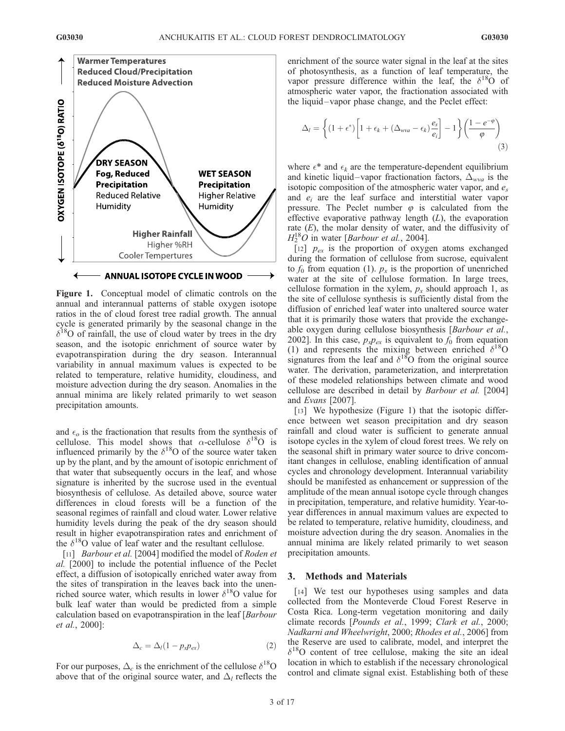

Figure 1. Conceptual model of climatic controls on the annual and interannual patterns of stable oxygen isotope ratios in the of cloud forest tree radial growth. The annual cycle is generated primarily by the seasonal change in the  $\delta^{18}$ O of rainfall, the use of cloud water by trees in the dry season, and the isotopic enrichment of source water by evapotranspiration during the dry season. Interannual variability in annual maximum values is expected to be related to temperature, relative humidity, cloudiness, and moisture advection during the dry season. Anomalies in the annual minima are likely related primarily to wet season precipitation amounts.

and  $\epsilon_o$  is the fractionation that results from the synthesis of cellulose. This model shows that  $\alpha$ -cellulose  $\delta^{18}O$  is influenced primarily by the  $\delta^{18}$ O of the source water taken up by the plant, and by the amount of isotopic enrichment of that water that subsequently occurs in the leaf, and whose signature is inherited by the sucrose used in the eventual biosynthesis of cellulose. As detailed above, source water differences in cloud forests will be a function of the seasonal regimes of rainfall and cloud water. Lower relative humidity levels during the peak of the dry season should result in higher evapotranspiration rates and enrichment of the  $\delta^{18}$ O value of leaf water and the resultant cellulose.

[11] *Barbour et al.* [2004] modified the model of Roden et al. [2000] to include the potential influence of the Peclet effect, a diffusion of isotopically enriched water away from the sites of transpiration in the leaves back into the unenriched source water, which results in lower  $\delta^{18}$ O value for bulk leaf water than would be predicted from a simple calculation based on evapotranspiration in the leaf [Barbour et al., 2000]:

$$
\Delta_c = \Delta_l (1 - p_x p_{ex}) \tag{2}
$$

For our purposes,  $\Delta_c$  is the enrichment of the cellulose  $\delta^{18}$ O above that of the original source water, and  $\Delta_l$  reflects the enrichment of the source water signal in the leaf at the sites of photosynthesis, as a function of leaf temperature, the vapor pressure difference within the leaf, the  $\delta^{18}$ O of atmospheric water vapor, the fractionation associated with the liquid –vapor phase change, and the Peclet effect:

$$
\Delta_{l} = \left\{ (1 + \epsilon^{*}) \left[ 1 + \epsilon_{k} + (\Delta_{wva} - \epsilon_{k}) \frac{e_{s}}{e_{i}} \right] - 1 \right\} \left( \frac{1 - e^{-\varphi}}{\varphi} \right)
$$
\n(3)

where  $\epsilon^*$  and  $\epsilon_k$  are the temperature-dependent equilibrium and kinetic liquid–vapor fractionation factors,  $\Delta_{wva}$  is the isotopic composition of the atmospheric water vapor, and  $e_s$ and  $e_i$  are the leaf surface and interstitial water vapor pressure. The Peclet number  $\varphi$  is calculated from the effective evaporative pathway length  $(L)$ , the evaporation rate  $(E)$ , the molar density of water, and the diffusivity of  $H_2^{18}O$  in water [*Barbour et al.*, 2004].

[12]  $p_{ex}$  is the proportion of oxygen atoms exchanged during the formation of cellulose from sucrose, equivalent to  $f_0$  from equation (1).  $p_x$  is the proportion of unenriched water at the site of cellulose formation. In large trees, cellulose formation in the xylem,  $p_x$  should approach 1, as the site of cellulose synthesis is sufficiently distal from the diffusion of enriched leaf water into unaltered source water that it is primarily those waters that provide the exchangeable oxygen during cellulose biosynthesis [Barbour et al., 2002]. In this case,  $p_x p_{ex}$  is equivalent to  $f_0$  from equation (1) and represents the mixing between enriched  $\delta^{18}$ O signatures from the leaf and  $\delta^{18}$ O from the original source water. The derivation, parameterization, and interpretation of these modeled relationships between climate and wood cellulose are described in detail by Barbour et al. [2004] and Evans [2007].

[13] We hypothesize (Figure 1) that the isotopic difference between wet season precipitation and dry season rainfall and cloud water is sufficient to generate annual isotope cycles in the xylem of cloud forest trees. We rely on the seasonal shift in primary water source to drive concomitant changes in cellulose, enabling identification of annual cycles and chronology development. Interannual variability should be manifested as enhancement or suppression of the amplitude of the mean annual isotope cycle through changes in precipitation, temperature, and relative humidity. Year-toyear differences in annual maximum values are expected to be related to temperature, relative humidity, cloudiness, and moisture advection during the dry season. Anomalies in the annual minima are likely related primarily to wet season precipitation amounts.

## 3. Methods and Materials

[14] We test our hypotheses using samples and data collected from the Monteverde Cloud Forest Reserve in Costa Rica. Long-term vegetation monitoring and daily climate records [Pounds et al., 1999; Clark et al., 2000; Nadkarni and Wheelwright, 2000; Rhodes et al., 2006] from the Reserve are used to calibrate, model, and interpret the  $\delta^{18}$ O content of tree cellulose, making the site an ideal location in which to establish if the necessary chronological control and climate signal exist. Establishing both of these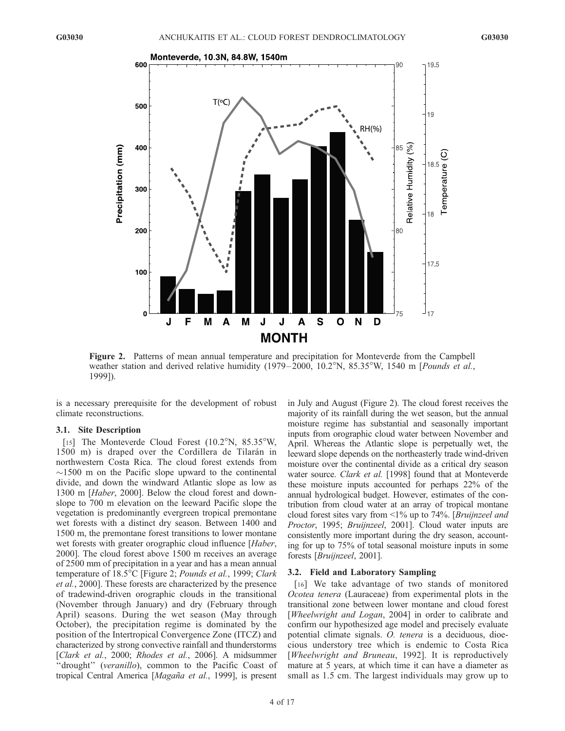

Figure 2. Patterns of mean annual temperature and precipitation for Monteverde from the Campbell weather station and derived relative humidity (1979–2000, 10.2°N, 85.35°W, 1540 m [Pounds et al., 1999]).

is a necessary prerequisite for the development of robust climate reconstructions.

#### 3.1. Site Description

[15] The Monteverde Cloud Forest  $(10.2^{\circ}N, 85.35^{\circ}W,$ 1500 m) is draped over the Cordillera de Tilarán in northwestern Costa Rica. The cloud forest extends from  $\sim$ 1500 m on the Pacific slope upward to the continental divide, and down the windward Atlantic slope as low as 1300 m [Haber, 2000]. Below the cloud forest and downslope to 700 m elevation on the leeward Pacific slope the vegetation is predominantly evergreen tropical premontane wet forests with a distinct dry season. Between 1400 and 1500 m, the premontane forest transitions to lower montane wet forests with greater orographic cloud influence [Haber, 2000]. The cloud forest above 1500 m receives an average of 2500 mm of precipitation in a year and has a mean annual temperature of 18.5°C [Figure 2; Pounds et al., 1999; Clark et al., 2000]. These forests are characterized by the presence of tradewind-driven orographic clouds in the transitional (November through January) and dry (February through April) seasons. During the wet season (May through October), the precipitation regime is dominated by the position of the Intertropical Convergence Zone (ITCZ) and characterized by strong convective rainfall and thunderstorms [Clark et al., 2000; Rhodes et al., 2006]. A midsummer "drought" (veranillo), common to the Pacific Coast of tropical Central America [Magaña et al., 1999], is present in July and August (Figure 2). The cloud forest receives the majority of its rainfall during the wet season, but the annual moisture regime has substantial and seasonally important inputs from orographic cloud water between November and April. Whereas the Atlantic slope is perpetually wet, the leeward slope depends on the northeasterly trade wind-driven moisture over the continental divide as a critical dry season water source. *Clark et al.* [1998] found that at Monteverde these moisture inputs accounted for perhaps 22% of the annual hydrological budget. However, estimates of the contribution from cloud water at an array of tropical montane cloud forest sites vary from <1% up to 74%. [Bruijnzeel and Proctor, 1995; Bruijnzeel, 2001]. Cloud water inputs are consistently more important during the dry season, accounting for up to 75% of total seasonal moisture inputs in some forests [Bruijnzeel, 2001].

## 3.2. Field and Laboratory Sampling

[16] We take advantage of two stands of monitored Ocotea tenera (Lauraceae) from experimental plots in the transitional zone between lower montane and cloud forest [Wheelwright and Logan, 2004] in order to calibrate and confirm our hypothesized age model and precisely evaluate potential climate signals. O. tenera is a deciduous, dioecious understory tree which is endemic to Costa Rica [Wheelwright and Bruneau, 1992]. It is reproductively mature at 5 years, at which time it can have a diameter as small as 1.5 cm. The largest individuals may grow up to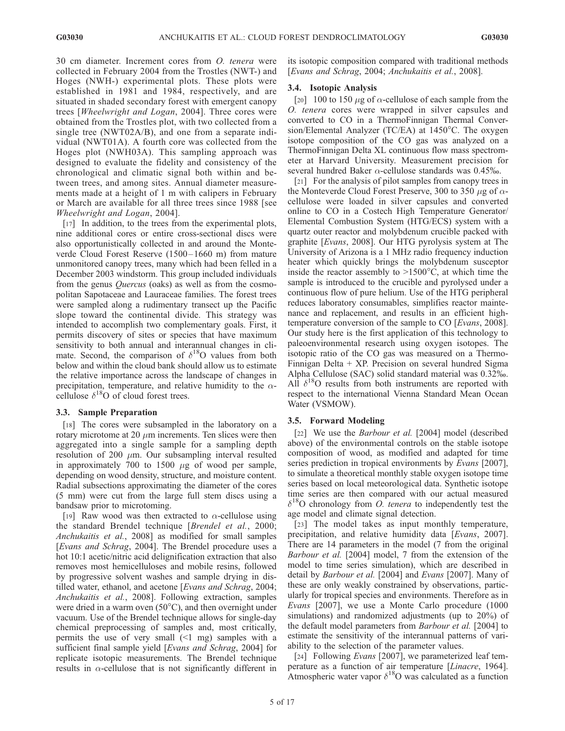30 cm diameter. Increment cores from O. tenera were collected in February 2004 from the Trostles (NWT-) and Hoges (NWH-) experimental plots. These plots were established in 1981 and 1984, respectively, and are situated in shaded secondary forest with emergent canopy trees [Wheelwright and Logan, 2004]. Three cores were obtained from the Trostles plot, with two collected from a single tree (NWT02A/B), and one from a separate individual (NWT01A). A fourth core was collected from the Hoges plot (NWH03A). This sampling approach was designed to evaluate the fidelity and consistency of the chronological and climatic signal both within and between trees, and among sites. Annual diameter measurements made at a height of 1 m with calipers in February or March are available for all three trees since 1988 [see Wheelwright and Logan, 2004].

[17] In addition, to the trees from the experimental plots, nine additional cores or entire cross-sectional discs were also opportunistically collected in and around the Monteverde Cloud Forest Reserve (1500-1660 m) from mature unmonitored canopy trees, many which had been felled in a December 2003 windstorm. This group included individuals from the genus *Quercus* (oaks) as well as from the cosmopolitan Sapotaceae and Lauraceae families. The forest trees were sampled along a rudimentary transect up the Pacific slope toward the continental divide. This strategy was intended to accomplish two complementary goals. First, it permits discovery of sites or species that have maximum sensitivity to both annual and interannual changes in climate. Second, the comparison of  $\delta^{18}O$  values from both below and within the cloud bank should allow us to estimate the relative importance across the landscape of changes in precipitation, temperature, and relative humidity to the  $\alpha$ cellulose  $\delta^{18}$ O of cloud forest trees.

## 3.3. Sample Preparation

[18] The cores were subsampled in the laboratory on a rotary microtome at 20  $\mu$ m increments. Ten slices were then aggregated into a single sample for a sampling depth resolution of 200  $\mu$ m. Our subsampling interval resulted in approximately 700 to 1500  $\mu$ g of wood per sample, depending on wood density, structure, and moisture content. Radial subsections approximating the diameter of the cores (5 mm) were cut from the large full stem discs using a bandsaw prior to microtoming.

[19] Raw wood was then extracted to  $\alpha$ -cellulose using the standard Brendel technique [Brendel et al., 2000; Anchukaitis et al., 2008] as modified for small samples [Evans and Schrag, 2004]. The Brendel procedure uses a hot 10:1 acetic/nitric acid delignification extraction that also removes most hemicelluloses and mobile resins, followed by progressive solvent washes and sample drying in distilled water, ethanol, and acetone [*Evans and Schrag*, 2004; Anchukaitis et al., 2008]. Following extraction, samples were dried in a warm oven  $(50^{\circ}$ C), and then overnight under vacuum. Use of the Brendel technique allows for single-day chemical preprocessing of samples and, most critically, permits the use of very small  $(1 \text{ mg})$  samples with a sufficient final sample yield [Evans and Schrag, 2004] for replicate isotopic measurements. The Brendel technique results in  $\alpha$ -cellulose that is not significantly different in

its isotopic composition compared with traditional methods [Evans and Schrag, 2004; Anchukaitis et al., 2008].

## 3.4. Isotopic Analysis

[20] 100 to 150  $\mu$ g of  $\alpha$ -cellulose of each sample from the O. tenera cores were wrapped in silver capsules and converted to CO in a ThermoFinnigan Thermal Conversion/Elemental Analyzer (TC/EA) at  $1450^{\circ}$ C. The oxygen isotope composition of the CO gas was analyzed on a ThermoFinnigan Delta XL continuous flow mass spectrometer at Harvard University. Measurement precision for several hundred Baker  $\alpha$ -cellulose standards was 0.45‰.

[21] For the analysis of pilot samples from canopy trees in the Monteverde Cloud Forest Preserve, 300 to 350  $\mu$ g of  $\alpha$ cellulose were loaded in silver capsules and converted online to CO in a Costech High Temperature Generator/ Elemental Combustion System (HTG/ECS) system with a quartz outer reactor and molybdenum crucible packed with graphite [Evans, 2008]. Our HTG pyrolysis system at The University of Arizona is a 1 MHz radio frequency induction heater which quickly brings the molybdenum susceptor inside the reactor assembly to  $>1500^{\circ}$ C, at which time the sample is introduced to the crucible and pyrolysed under a continuous flow of pure helium. Use of the HTG peripheral reduces laboratory consumables, simplifies reactor maintenance and replacement, and results in an efficient hightemperature conversion of the sample to CO [Evans, 2008]. Our study here is the first application of this technology to paleoenvironmental research using oxygen isotopes. The isotopic ratio of the CO gas was measured on a Thermo-Finnigan Delta + XP. Precision on several hundred Sigma Alpha Cellulose (SAC) solid standard material was 0.32%. All  $\delta^{18}$ O results from both instruments are reported with respect to the international Vienna Standard Mean Ocean Water (VSMOW).

## 3.5. Forward Modeling

[22] We use the *Barbour et al.* [2004] model (described above) of the environmental controls on the stable isotope composition of wood, as modified and adapted for time series prediction in tropical environments by *Evans* [2007], to simulate a theoretical monthly stable oxygen isotope time series based on local meteorological data. Synthetic isotope time series are then compared with our actual measured  $\delta^{18}$ O chronology from *O. tenera* to independently test the age model and climate signal detection.

[23] The model takes as input monthly temperature, precipitation, and relative humidity data [Evans, 2007]. There are 14 parameters in the model (7 from the original Barbour et al. [2004] model, 7 from the extension of the model to time series simulation), which are described in detail by *Barbour et al.* [2004] and *Evans* [2007]. Many of these are only weakly constrained by observations, particularly for tropical species and environments. Therefore as in Evans [2007], we use a Monte Carlo procedure (1000 simulations) and randomized adjustments (up to 20%) of the default model parameters from Barbour et al. [2004] to estimate the sensitivity of the interannual patterns of variability to the selection of the parameter values.

[24] Following *Evans* [2007], we parameterized leaf temperature as a function of air temperature [Linacre, 1964]. Atmospheric water vapor  $\delta^{18}$ O was calculated as a function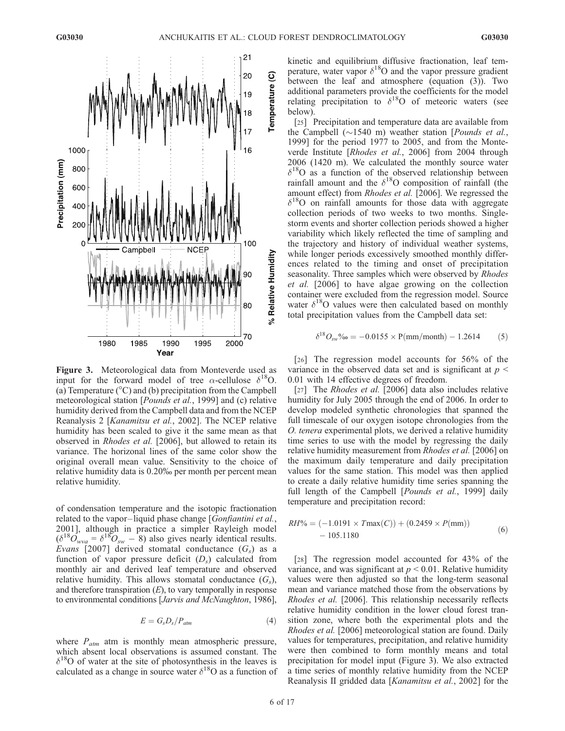

Figure 3. Meteorological data from Monteverde used as input for the forward model of tree  $\alpha$ -cellulose  $\delta^{18}$ O. (a) Temperature ( $\rm{^{\circ}C}$ ) and (b) precipitation from the Campbell meteorological station [Pounds et al., 1999] and (c) relative humidity derived from the Campbell data and from the NCEP Reanalysis 2 [Kanamitsu et al., 2002]. The NCEP relative humidity has been scaled to give it the same mean as that observed in Rhodes et al. [2006], but allowed to retain its variance. The horizonal lines of the same color show the original overall mean value. Sensitivity to the choice of relative humidity data is 0.20% per month per percent mean relative humidity.

of condensation temperature and the isotopic fractionation related to the vapor-liquid phase change [Gonfiantini et al., 2001], although in practice a simpler Rayleigh model  $(\delta^{18}O_{wva} = \delta^{18}O_{sw} - 8)$  also gives nearly identical results. Evans [2007] derived stomatal conductance  $(G<sub>s</sub>)$  as a function of vapor pressure deficit  $(D<sub>s</sub>)$  calculated from monthly air and derived leaf temperature and observed relative humidity. This allows stomatal conductance  $(G_s)$ , and therefore transpiration  $(E)$ , to vary temporally in response to environmental conditions [Jarvis and McNaughton, 1986],

$$
E = G_s D_s / P_{atm} \tag{4}
$$

where  $P_{atm}$  atm is monthly mean atmospheric pressure, which absent local observations is assumed constant. The  $\delta^{18}$ O of water at the site of photosynthesis in the leaves is calculated as a change in source water  $\delta^{18}$ O as a function of kinetic and equilibrium diffusive fractionation, leaf temperature, water vapor  $\delta^{18}$ O and the vapor pressure gradient between the leaf and atmosphere (equation (3)). Two additional parameters provide the coefficients for the model relating precipitation to  $\delta^{18}$ O of meteoric waters (see below).

[25] Precipitation and temperature data are available from the Campbell  $(\sim 1540 \text{ m})$  weather station [*Pounds et al.*, 1999] for the period 1977 to 2005, and from the Monteverde Institute [Rhodes et al., 2006] from 2004 through 2006 (1420 m). We calculated the monthly source water  $\delta^{18}$ O as a function of the observed relationship between rainfall amount and the  $\delta^{18}O$  composition of rainfall (the amount effect) from Rhodes et al. [2006]. We regressed the  $\delta^{18}$ O on rainfall amounts for those data with aggregate collection periods of two weeks to two months. Singlestorm events and shorter collection periods showed a higher variability which likely reflected the time of sampling and the trajectory and history of individual weather systems, while longer periods excessively smoothed monthly differences related to the timing and onset of precipitation seasonality. Three samples which were observed by Rhodes et al. [2006] to have algae growing on the collection container were excluded from the regression model. Source water  $\delta^{18}$ O values were then calculated based on monthly total precipitation values from the Campbell data set:

$$
\delta^{18}O_{\text{sw}}\%_0 = -0.0155 \times P(mm/month) - 1.2614 \tag{5}
$$

[26] The regression model accounts for 56% of the variance in the observed data set and is significant at  $p <$ 0.01 with 14 effective degrees of freedom.

[27] The *Rhodes et al.* [2006] data also includes relative humidity for July 2005 through the end of 2006. In order to develop modeled synthetic chronologies that spanned the full timescale of our oxygen isotope chronologies from the O. tenera experimental plots, we derived a relative humidity time series to use with the model by regressing the daily relative humidity measurement from Rhodes et al. [2006] on the maximum daily temperature and daily precipitation values for the same station. This model was then applied to create a daily relative humidity time series spanning the full length of the Campbell [Pounds et al., 1999] daily temperature and precipitation record:

$$
RH\% = (-1.0191 \times T \max(C)) + (0.2459 \times P(\text{mm}))
$$
  
- 105.1180 (6)

[28] The regression model accounted for 43% of the variance, and was significant at  $p \leq 0.01$ . Relative humidity values were then adjusted so that the long-term seasonal mean and variance matched those from the observations by Rhodes et al. [2006]. This relationship necessarily reflects relative humidity condition in the lower cloud forest transition zone, where both the experimental plots and the Rhodes et al. [2006] meteorological station are found. Daily values for temperatures, precipitation, and relative humidity were then combined to form monthly means and total precipitation for model input (Figure 3). We also extracted a time series of monthly relative humidity from the NCEP Reanalysis II gridded data [Kanamitsu et al., 2002] for the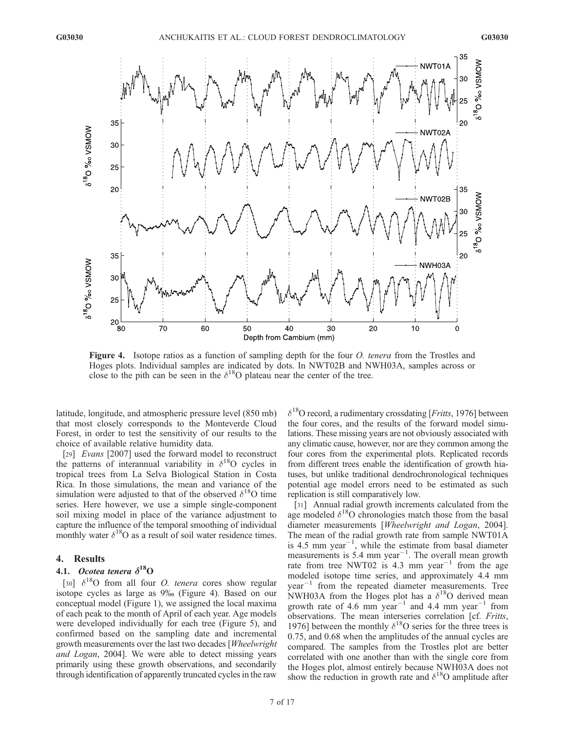

Figure 4. Isotope ratios as a function of sampling depth for the four *O. tenera* from the Trostles and Hoges plots. Individual samples are indicated by dots. In NWT02B and NWH03A, samples across or close to the pith can be seen in the  $\delta^{18}$ O plateau near the center of the tree.

latitude, longitude, and atmospheric pressure level (850 mb) that most closely corresponds to the Monteverde Cloud Forest, in order to test the sensitivity of our results to the choice of available relative humidity data.

[29] *Evans* [2007] used the forward model to reconstruct the patterns of interannual variability in  $\delta^{18}$ O cycles in tropical trees from La Selva Biological Station in Costa Rica. In those simulations, the mean and variance of the simulation were adjusted to that of the observed  $\delta^{18}$ O time series. Here however, we use a simple single-component soil mixing model in place of the variance adjustment to capture the influence of the temporal smoothing of individual monthly water  $\delta^{18}$ O as a result of soil water residence times.

## 4. Results

## 4.1. Ocotea tenera  $\delta^{18}$ O

[30]  $\delta^{18}$ O from all four *O. tenera* cores show regular isotope cycles as large as 9% (Figure 4). Based on our conceptual model (Figure 1), we assigned the local maxima of each peak to the month of April of each year. Age models were developed individually for each tree (Figure 5), and confirmed based on the sampling date and incremental growth measurements over the last two decades [Wheelwright and Logan, 2004]. We were able to detect missing years primarily using these growth observations, and secondarily through identification of apparently truncated cycles in the raw

 $\delta^{18}$ O record, a rudimentary crossdating [*Fritts*, 1976] between the four cores, and the results of the forward model simulations. These missing years are not obviously associated with any climatic cause, however, nor are they common among the four cores from the experimental plots. Replicated records from different trees enable the identification of growth hiatuses, but unlike traditional dendrochronological techniques potential age model errors need to be estimated as such replication is still comparatively low.

[31] Annual radial growth increments calculated from the age modeled  $\delta^{18}$ O chronologies match those from the basal diameter measurements [Wheelwright and Logan, 2004]. The mean of the radial growth rate from sample NWT01A is 4.5 mm year<sup> $-1$ </sup>, while the estimate from basal diameter measurements is  $5.4$  mm year<sup>-1</sup>. The overall mean growth rate from tree NWT02 is 4.3 mm year<sup>-1</sup> from the age modeled isotope time series, and approximately 4.4 mm  $year<sup>-1</sup>$  from the repeated diameter measurements. Tree NWH03A from the Hoges plot has a  $\delta^{18}O$  derived mean growth rate of 4.6 mm year<sup>-1</sup> and 4.4 mm year<sup>-1</sup> from observations. The mean interseries correlation [cf. Fritts, 1976] between the monthly  $\delta^{18}$ O series for the three trees is 0.75, and 0.68 when the amplitudes of the annual cycles are compared. The samples from the Trostles plot are better correlated with one another than with the single core from the Hoges plot, almost entirely because NWH03A does not show the reduction in growth rate and  $\delta^{18}$ O amplitude after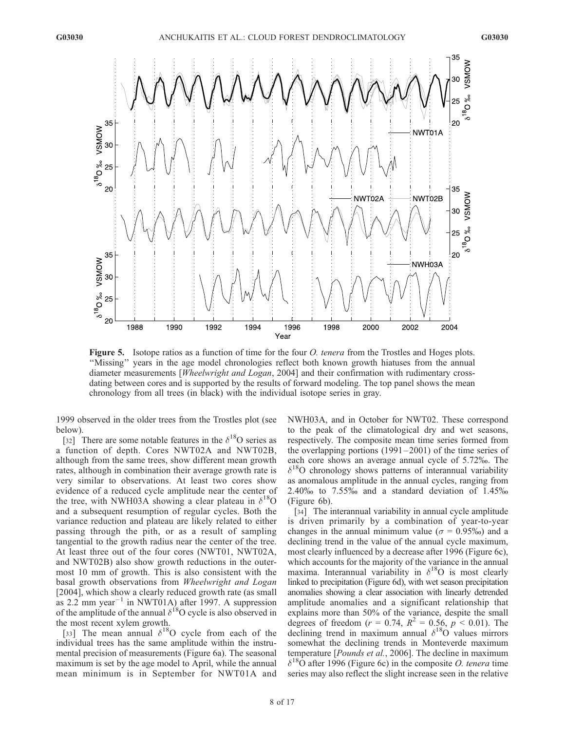

Figure 5. Isotope ratios as a function of time for the four *O. tenera* from the Trostles and Hoges plots. ''Missing'' years in the age model chronologies reflect both known growth hiatuses from the annual diameter measurements [Wheelwright and Logan, 2004] and their confirmation with rudimentary crossdating between cores and is supported by the results of forward modeling. The top panel shows the mean chronology from all trees (in black) with the individual isotope series in gray.

1999 observed in the older trees from the Trostles plot (see below).

[32] There are some notable features in the  $\delta^{18}$ O series as a function of depth. Cores NWT02A and NWT02B, although from the same trees, show different mean growth rates, although in combination their average growth rate is very similar to observations. At least two cores show evidence of a reduced cycle amplitude near the center of the tree, with NWH03A showing a clear plateau in  $\delta^{18}O$ and a subsequent resumption of regular cycles. Both the variance reduction and plateau are likely related to either passing through the pith, or as a result of sampling tangential to the growth radius near the center of the tree. At least three out of the four cores (NWT01, NWT02A, and NWT02B) also show growth reductions in the outermost 10 mm of growth. This is also consistent with the basal growth observations from Wheelwright and Logan [2004], which show a clearly reduced growth rate (as small as 2.2 mm year<sup>-1</sup> in NWT01A) after 1997. A suppression of the amplitude of the annual  $\delta^{18}$ O cycle is also observed in the most recent xylem growth.

[33] The mean annual  $\delta^{18}$ O cycle from each of the individual trees has the same amplitude within the instrumental precision of measurements (Figure 6a). The seasonal maximum is set by the age model to April, while the annual mean minimum is in September for NWT01A and NWH03A, and in October for NWT02. These correspond to the peak of the climatological dry and wet seasons, respectively. The composite mean time series formed from the overlapping portions  $(1991-2001)$  of the time series of each core shows an average annual cycle of 5.72%. The  $\delta^{18}$ O chronology shows patterns of interannual variability as anomalous amplitude in the annual cycles, ranging from 2.40% to  $7.55\%$  and a standard deviation of  $1.45\%$ (Figure 6b).

[34] The interannual variability in annual cycle amplitude is driven primarily by a combination of year-to-year changes in the annual minimum value ( $\sigma = 0.95\%$ ) and a declining trend in the value of the annual cycle maximum, most clearly influenced by a decrease after 1996 (Figure 6c), which accounts for the majority of the variance in the annual maxima. Interannual variability in  $\delta^{18}O$  is most clearly linked to precipitation (Figure 6d), with wet season precipitation anomalies showing a clear association with linearly detrended amplitude anomalies and a significant relationship that explains more than 50% of the variance, despite the small degrees of freedom ( $r = 0.74$ ,  $R^2 = 0.56$ ,  $p < 0.01$ ). The declining trend in maximum annual  $\delta^{18}$ O values mirrors somewhat the declining trends in Monteverde maximum temperature [*Pounds et al.*, 2006]. The decline in maximum  $\delta^{18}$ O after 1996 (Figure 6c) in the composite *O. tenera* time series may also reflect the slight increase seen in the relative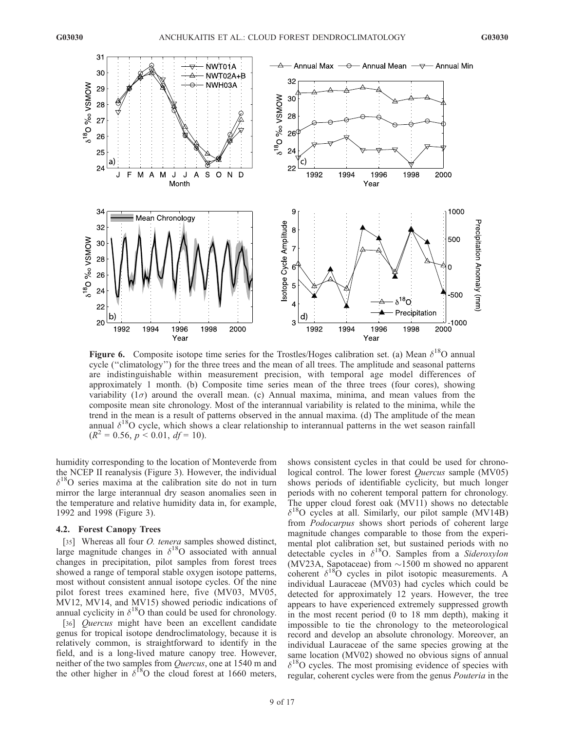

**Figure 6.** Composite isotope time series for the Trostles/Hoges calibration set. (a) Mean  $\delta^{18}$ O annual cycle (''climatology'') for the three trees and the mean of all trees. The amplitude and seasonal patterns are indistinguishable within measurement precision, with temporal age model differences of approximately 1 month. (b) Composite time series mean of the three trees (four cores), showing variability  $(1\sigma)$  around the overall mean. (c) Annual maxima, minima, and mean values from the composite mean site chronology. Most of the interannual variability is related to the minima, while the trend in the mean is a result of patterns observed in the annual maxima. (d) The amplitude of the mean annual  $\delta^{18}$ O cycle, which shows a clear relationship to interannual patterns in the wet season rainfall  $(R^2 = 0.56, p \le 0.01, df = 10).$ 

humidity corresponding to the location of Monteverde from the NCEP II reanalysis (Figure 3). However, the individual  $\delta^{18}$ O series maxima at the calibration site do not in turn mirror the large interannual dry season anomalies seen in the temperature and relative humidity data in, for example, 1992 and 1998 (Figure 3).

## 4.2. Forest Canopy Trees

[35] Whereas all four *O. tenera* samples showed distinct, large magnitude changes in  $\delta^{18}O$  associated with annual changes in precipitation, pilot samples from forest trees showed a range of temporal stable oxygen isotope patterns, most without consistent annual isotope cycles. Of the nine pilot forest trees examined here, five (MV03, MV05, MV12, MV14, and MV15) showed periodic indications of annual cyclicity in  $\delta^{18}$ O than could be used for chronology.

[36] *Quercus* might have been an excellent candidate genus for tropical isotope dendroclimatology, because it is relatively common, is straightforward to identify in the field, and is a long-lived mature canopy tree. However, neither of the two samples from Quercus, one at 1540 m and the other higher in  $\delta^{18}$ O the cloud forest at 1660 meters,

shows consistent cycles in that could be used for chronological control. The lower forest *Quercus* sample (MV05) shows periods of identifiable cyclicity, but much longer periods with no coherent temporal pattern for chronology. The upper cloud forest oak (MV11) shows no detectable  $\delta^{18}$ O cycles at all. Similarly, our pilot sample (MV14B) from Podocarpus shows short periods of coherent large magnitude changes comparable to those from the experimental plot calibration set, but sustained periods with no detectable cycles in  $\delta^{18}O$ . Samples from a Sideroxylon (MV23A, Sapotaceae) from  $\sim$ 1500 m showed no apparent coherent  $\delta^{18}$ O cycles in pilot isotopic measurements. A individual Lauraceae (MV03) had cycles which could be detected for approximately 12 years. However, the tree appears to have experienced extremely suppressed growth in the most recent period (0 to 18 mm depth), making it impossible to tie the chronology to the meteorological record and develop an absolute chronology. Moreover, an individual Lauraceae of the same species growing at the same location (MV02) showed no obvious signs of annual  $\delta^{18}$ O cycles. The most promising evidence of species with regular, coherent cycles were from the genus Pouteria in the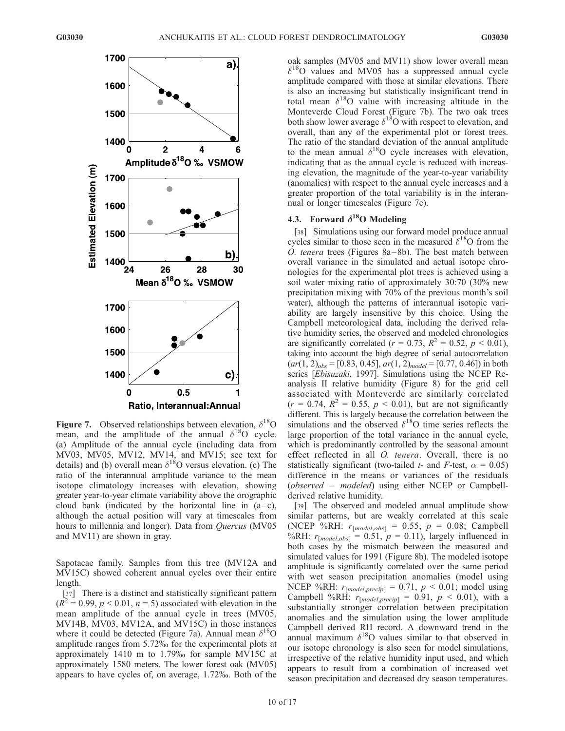

**Figure 7.** Observed relationships between elevation,  $\delta^{18}$ O mean, and the amplitude of the annual  $\delta^{18}O$  cycle. (a) Amplitude of the annual cycle (including data from MV03, MV05, MV12, MV14, and MV15; see text for details) and (b) overall mean  $\delta^{18}$ O versus elevation. (c) The ratio of the interannual amplitude variance to the mean isotope climatology increases with elevation, showing greater year-to-year climate variability above the orographic cloud bank (indicated by the horizontal line in  $(a-c)$ , although the actual position will vary at timescales from hours to millennia and longer). Data from Quercus (MV05 and MV11) are shown in gray.

Sapotacae family. Samples from this tree (MV12A and MV15C) showed coherent annual cycles over their entire length.

[37] There is a distinct and statistically significant pattern  $(R^2 = 0.99, p < 0.01, n = 5)$  associated with elevation in the mean amplitude of the annual cycle in trees (MV05, MV14B, MV03, MV12A, and MV15C) in those instances where it could be detected (Figure 7a). Annual mean  $\delta^{18}$ O amplitude ranges from 5.72% for the experimental plots at approximately 1410 m to 1.79% for sample MV15C at approximately 1580 meters. The lower forest oak (MV05) appears to have cycles of, on average, 1.72%. Both of the

oak samples (MV05 and MV11) show lower overall mean  $\delta^{18}$ O values and MV05 has a suppressed annual cycle amplitude compared with those at similar elevations. There is also an increasing but statistically insignificant trend in total mean  $\delta^{18}$ O value with increasing altitude in the Monteverde Cloud Forest (Figure 7b). The two oak trees both show lower average  $\delta^{18}O$  with respect to elevation, and overall, than any of the experimental plot or forest trees. The ratio of the standard deviation of the annual amplitude to the mean annual  $\delta^{18}O$  cycle increases with elevation, indicating that as the annual cycle is reduced with increasing elevation, the magnitude of the year-to-year variability (anomalies) with respect to the annual cycle increases and a greater proportion of the total variability is in the interannual or longer timescales (Figure 7c).

## 4.3. Forward  $\delta^{18}$ O Modeling

[38] Simulations using our forward model produce annual cycles similar to those seen in the measured  $\delta^{18}$ O from the O. tenera trees (Figures  $8a-8b$ ). The best match between overall variance in the simulated and actual isotope chronologies for the experimental plot trees is achieved using a soil water mixing ratio of approximately 30:70 (30% new precipitation mixing with 70% of the previous month's soil water), although the patterns of interannual isotopic variability are largely insensitive by this choice. Using the Campbell meteorological data, including the derived relative humidity series, the observed and modeled chronologies are significantly correlated ( $r = 0.73$ ,  $R^2 = 0.52$ ,  $p < 0.01$ ), taking into account the high degree of serial autocorrelation  $(ar(1, 2)<sub>obs</sub> = [0.83, 0.45], ar(1, 2)<sub>model</sub> = [0.77, 0.46])$  in both series [Ebisuzaki, 1997]. Simulations using the NCEP Reanalysis II relative humidity (Figure 8) for the grid cell associated with Monteverde are similarly correlated  $(r = 0.74, R^2 = 0.55, p < 0.01)$ , but are not significantly different. This is largely because the correlation between the simulations and the observed  $\delta^{18}$ O time series reflects the large proportion of the total variance in the annual cycle, which is predominantly controlled by the seasonal amount effect reflected in all *O. tenera*. Overall, there is no statistically significant (two-tailed t- and F-test,  $\alpha = 0.05$ ) difference in the means or variances of the residuals (observed  $-$  modeled) using either NCEP or Campbellderived relative humidity.

[39] The observed and modeled annual amplitude show similar patterns, but are weakly correlated at this scale (NCEP %RH:  $r_{[model, obs]} = 0.55$ ,  $p = 0.08$ ; Campbell %RH:  $r_{[model,obs]} = 0.51$ ,  $p = 0.11$ ), largely influenced in both cases by the mismatch between the measured and simulated values for 1991 (Figure 8b). The modeled isotope amplitude is significantly correlated over the same period with wet season precipitation anomalies (model using NCEP %RH:  $r_{[model, precip]} = 0.71$ ,  $p < 0.01$ ; model using Campbell %RH:  $r_{[model, precip]} = 0.91, p < 0.01$ ), with a substantially stronger correlation between precipitation anomalies and the simulation using the lower amplitude Campbell derived RH record. A downward trend in the annual maximum  $\delta^{18}O$  values similar to that observed in our isotope chronology is also seen for model simulations, irrespective of the relative humidity input used, and which appears to result from a combination of increased wet season precipitation and decreased dry season temperatures.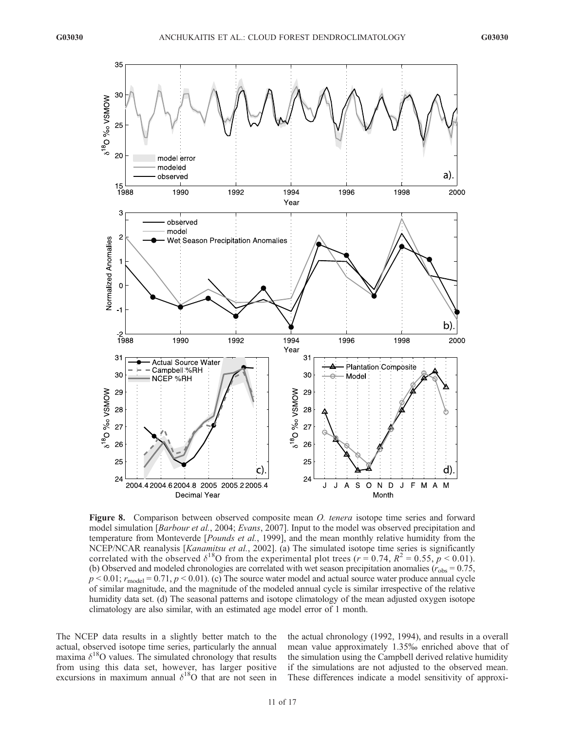

Figure 8. Comparison between observed composite mean *O. tenera* isotope time series and forward model simulation [Barbour et al., 2004; Evans, 2007]. Input to the model was observed precipitation and temperature from Monteverde [*Pounds et al.*, 1999], and the mean monthly relative humidity from the NCEP/NCAR reanalysis [Kanamitsu et al., 2002]. (a) The simulated isotope time series is significantly correlated with the observed  $\delta^{18}$ O from the experimental plot trees ( $r = 0.74$ ,  $R^2 = 0.55$ ,  $p < 0.01$ ). (b) Observed and modeled chronologies are correlated with wet season precipitation anomalies ( $r_{\text{obs}} = 0.75$ ,  $p < 0.01$ ;  $r_{\text{model}} = 0.71$ ,  $p < 0.01$ ). (c) The source water model and actual source water produce annual cycle of similar magnitude, and the magnitude of the modeled annual cycle is similar irrespective of the relative humidity data set. (d) The seasonal patterns and isotope climatology of the mean adjusted oxygen isotope climatology are also similar, with an estimated age model error of 1 month.

The NCEP data results in a slightly better match to the actual, observed isotope time series, particularly the annual maxima  $\delta^{18}$ O values. The simulated chronology that results from using this data set, however, has larger positive excursions in maximum annual  $\delta^{18}$ O that are not seen in

the actual chronology (1992, 1994), and results in a overall mean value approximately 1.35% enriched above that of the simulation using the Campbell derived relative humidity if the simulations are not adjusted to the observed mean. These differences indicate a model sensitivity of approxi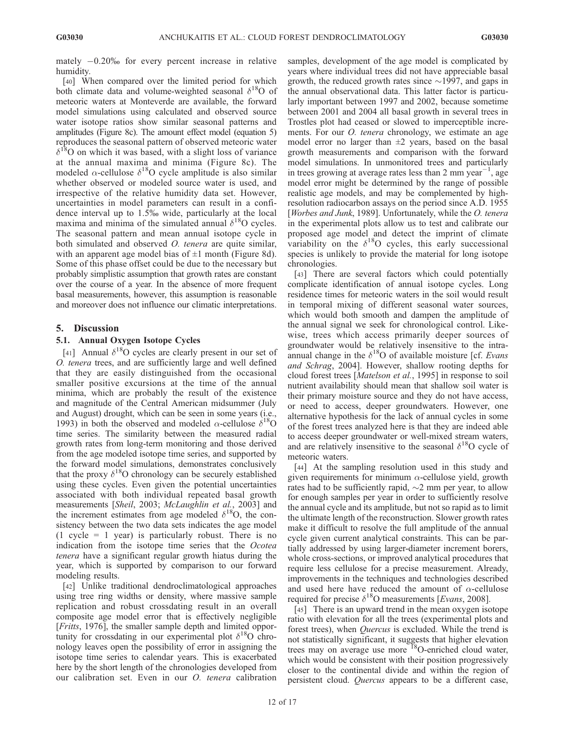mately  $-0.20\%$  for every percent increase in relative humidity.

[40] When compared over the limited period for which both climate data and volume-weighted seasonal  $\delta^{18}O$  of meteoric waters at Monteverde are available, the forward model simulations using calculated and observed source water isotope ratios show similar seasonal patterns and amplitudes (Figure 8c). The amount effect model (equation 5) reproduces the seasonal pattern of observed meteoric water  $\delta^{18}$ O on which it was based, with a slight loss of variance at the annual maxima and minima (Figure 8c). The modeled  $\alpha$ -cellulose  $\delta^{18}$ O cycle amplitude is also similar whether observed or modeled source water is used, and irrespective of the relative humidity data set. However, uncertainties in model parameters can result in a confidence interval up to 1.5% wide, particularly at the local maxima and minima of the simulated annual  $\delta^{18}O$  cycles. The seasonal pattern and mean annual isotope cycle in both simulated and observed *O. tenera* are quite similar, with an apparent age model bias of  $\pm 1$  month (Figure 8d). Some of this phase offset could be due to the necessary but probably simplistic assumption that growth rates are constant over the course of a year. In the absence of more frequent basal measurements, however, this assumption is reasonable and moreover does not influence our climatic interpretations.

## 5. Discussion

## 5.1. Annual Oxygen Isotope Cycles

[41] Annual  $\delta^{18}$ O cycles are clearly present in our set of O. tenera trees, and are sufficiently large and well defined that they are easily distinguished from the occasional smaller positive excursions at the time of the annual minima, which are probably the result of the existence and magnitude of the Central American midsummer (July and August) drought, which can be seen in some years (i.e., 1993) in both the observed and modeled  $\alpha$ -cellulose  $\delta^{18}$ O time series. The similarity between the measured radial growth rates from long-term monitoring and those derived from the age modeled isotope time series, and supported by the forward model simulations, demonstrates conclusively that the proxy  $\delta^{18}$ O chronology can be securely established using these cycles. Even given the potential uncertainties associated with both individual repeated basal growth measurements [Sheil, 2003; McLaughlin et al., 2003] and the increment estimates from age modeled  $\delta^{18}O$ , the consistency between the two data sets indicates the age model  $(1 \text{ cycle} = 1 \text{ year})$  is particularly robust. There is no indication from the isotope time series that the Ocotea tenera have a significant regular growth hiatus during the year, which is supported by comparison to our forward modeling results.

[42] Unlike traditional dendroclimatological approaches using tree ring widths or density, where massive sample replication and robust crossdating result in an overall composite age model error that is effectively negligible [Fritts, 1976], the smaller sample depth and limited opportunity for crossdating in our experimental plot  $\delta^{18}$ O chronology leaves open the possibility of error in assigning the isotope time series to calendar years. This is exacerbated here by the short length of the chronologies developed from our calibration set. Even in our O. tenera calibration samples, development of the age model is complicated by years where individual trees did not have appreciable basal growth, the reduced growth rates since  $\sim$ 1997, and gaps in the annual observational data. This latter factor is particularly important between 1997 and 2002, because sometime between 2001 and 2004 all basal growth in several trees in Trostles plot had ceased or slowed to imperceptible increments. For our *O. tenera* chronology, we estimate an age model error no larger than  $\pm 2$  years, based on the basal growth measurements and comparison with the forward model simulations. In unmonitored trees and particularly in trees growing at average rates less than 2 mm year<sup>-1</sup>, age model error might be determined by the range of possible realistic age models, and may be complemented by highresolution radiocarbon assays on the period since A.D. 1955 [Worbes and Junk, 1989]. Unfortunately, while the O. tenera in the experimental plots allow us to test and calibrate our proposed age model and detect the imprint of climate variability on the  $\delta^{18}O$  cycles, this early successional species is unlikely to provide the material for long isotope chronologies.

[43] There are several factors which could potentially complicate identification of annual isotope cycles. Long residence times for meteoric waters in the soil would result in temporal mixing of different seasonal water sources, which would both smooth and dampen the amplitude of the annual signal we seek for chronological control. Likewise, trees which access primarily deeper sources of groundwater would be relatively insensitive to the intraannual change in the  $\delta^{18}$ O of available moisture [cf. *Evans* and Schrag, 2004]. However, shallow rooting depths for cloud forest trees [Matelson et al., 1995] in response to soil nutrient availability should mean that shallow soil water is their primary moisture source and they do not have access, or need to access, deeper groundwaters. However, one alternative hypothesis for the lack of annual cycles in some of the forest trees analyzed here is that they are indeed able to access deeper groundwater or well-mixed stream waters, and are relatively insensitive to the seasonal  $\delta^{18}$ O cycle of meteoric waters.

[44] At the sampling resolution used in this study and given requirements for minimum  $\alpha$ -cellulose yield, growth rates had to be sufficiently rapid,  $\sim$ 2 mm per year, to allow for enough samples per year in order to sufficiently resolve the annual cycle and its amplitude, but not so rapid as to limit the ultimate length of the reconstruction. Slower growth rates make it difficult to resolve the full amplitude of the annual cycle given current analytical constraints. This can be partially addressed by using larger-diameter increment borers, whole cross-sections, or improved analytical procedures that require less cellulose for a precise measurement. Already, improvements in the techniques and technologies described and used here have reduced the amount of  $\alpha$ -cellulose required for precise  $\delta^{18}$ O measurements [Evans, 2008].

[45] There is an upward trend in the mean oxygen isotope ratio with elevation for all the trees (experimental plots and forest trees), when *Quercus* is excluded. While the trend is not statistically significant, it suggests that higher elevation trees may on average use more <sup>18</sup>O-enriched cloud water, which would be consistent with their position progressively closer to the continental divide and within the region of persistent cloud. Quercus appears to be a different case,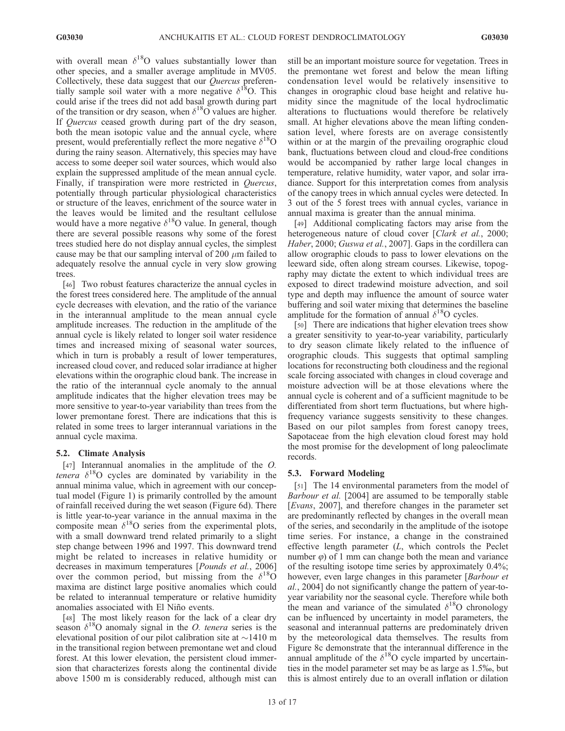with overall mean  $\delta^{18}$ O values substantially lower than other species, and a smaller average amplitude in MV05. Collectively, these data suggest that our Quercus preferentially sample soil water with a more negative  $\delta^{18}$ O. This could arise if the trees did not add basal growth during part of the transition or dry season, when  $\delta^{18}$ O values are higher. If Quercus ceased growth during part of the dry season, both the mean isotopic value and the annual cycle, where present, would preferentially reflect the more negative  $\delta^{18}$ O during the rainy season. Alternatively, this species may have access to some deeper soil water sources, which would also explain the suppressed amplitude of the mean annual cycle. Finally, if transpiration were more restricted in Quercus, potentially through particular physiological characteristics or structure of the leaves, enrichment of the source water in the leaves would be limited and the resultant cellulose would have a more negative  $\delta^{18}$ O value. In general, though there are several possible reasons why some of the forest trees studied here do not display annual cycles, the simplest cause may be that our sampling interval of 200  $\mu$ m failed to adequately resolve the annual cycle in very slow growing trees.

[46] Two robust features characterize the annual cycles in the forest trees considered here. The amplitude of the annual cycle decreases with elevation, and the ratio of the variance in the interannual amplitude to the mean annual cycle amplitude increases. The reduction in the amplitude of the annual cycle is likely related to longer soil water residence times and increased mixing of seasonal water sources, which in turn is probably a result of lower temperatures, increased cloud cover, and reduced solar irradiance at higher elevations within the orographic cloud bank. The increase in the ratio of the interannual cycle anomaly to the annual amplitude indicates that the higher elevation trees may be more sensitive to year-to-year variability than trees from the lower premontane forest. There are indications that this is related in some trees to larger interannual variations in the annual cycle maxima.

## 5.2. Climate Analysis

[47] Interannual anomalies in the amplitude of the O. tenera  $\delta^{18}$ O cycles are dominated by variability in the annual minima value, which in agreement with our conceptual model (Figure 1) is primarily controlled by the amount of rainfall received during the wet season (Figure 6d). There is little year-to-year variance in the annual maxima in the composite mean  $\delta^{18}$ O series from the experimental plots, with a small downward trend related primarily to a slight step change between 1996 and 1997. This downward trend might be related to increases in relative humidity or decreases in maximum temperatures [Pounds et al., 2006] over the common period, but missing from the  $\delta^{18}$ O maxima are distinct large positive anomalies which could be related to interannual temperature or relative humidity anomalies associated with El Niño events.

[48] The most likely reason for the lack of a clear dry season  $\delta^{18}$ O anomaly signal in the *O. tenera* series is the elevational position of our pilot calibration site at  $\sim$ 1410 m in the transitional region between premontane wet and cloud forest. At this lower elevation, the persistent cloud immersion that characterizes forests along the continental divide above 1500 m is considerably reduced, although mist can still be an important moisture source for vegetation. Trees in the premontane wet forest and below the mean lifting condensation level would be relatively insensitive to changes in orographic cloud base height and relative humidity since the magnitude of the local hydroclimatic alterations to fluctuations would therefore be relatively small. At higher elevations above the mean lifting condensation level, where forests are on average consistently within or at the margin of the prevailing orographic cloud bank, fluctuations between cloud and cloud-free conditions would be accompanied by rather large local changes in temperature, relative humidity, water vapor, and solar irradiance. Support for this interpretation comes from analysis of the canopy trees in which annual cycles were detected. In 3 out of the 5 forest trees with annual cycles, variance in annual maxima is greater than the annual minima.

[49] Additional complicating factors may arise from the heterogeneous nature of cloud cover [Clark et al., 2000; Haber, 2000; Guswa et al., 2007]. Gaps in the cordillera can allow orographic clouds to pass to lower elevations on the leeward side, often along stream courses. Likewise, topography may dictate the extent to which individual trees are exposed to direct tradewind moisture advection, and soil type and depth may influence the amount of source water buffering and soil water mixing that determines the baseline amplitude for the formation of annual  $\delta^{18}$ O cycles.

[50] There are indications that higher elevation trees show a greater sensitivity to year-to-year variability, particularly to dry season climate likely related to the influence of orographic clouds. This suggests that optimal sampling locations for reconstructing both cloudiness and the regional scale forcing associated with changes in cloud coverage and moisture advection will be at those elevations where the annual cycle is coherent and of a sufficient magnitude to be differentiated from short term fluctuations, but where highfrequency variance suggests sensitivity to these changes. Based on our pilot samples from forest canopy trees, Sapotaceae from the high elevation cloud forest may hold the most promise for the development of long paleoclimate records.

## 5.3. Forward Modeling

[51] The 14 environmental parameters from the model of Barbour et al. [2004] are assumed to be temporally stable [Evans, 2007], and therefore changes in the parameter set are predominantly reflected by changes in the overall mean of the series, and secondarily in the amplitude of the isotope time series. For instance, a change in the constrained effective length parameter (L, which controls the Peclet number  $\varphi$ ) of 1 mm can change both the mean and variance of the resulting isotope time series by approximately 0.4%; however, even large changes in this parameter [*Barbour et*] al., 2004] do not significantly change the pattern of year-toyear variability nor the seasonal cycle. Therefore while both the mean and variance of the simulated  $\delta^{18}$ O chronology can be influenced by uncertainty in model parameters, the seasonal and interannual patterns are predominately driven by the meteorological data themselves. The results from Figure 8c demonstrate that the interannual difference in the annual amplitude of the  $\delta^{18}$ O cycle imparted by uncertainties in the model parameter set may be as large as 1.5%, but this is almost entirely due to an overall inflation or dilation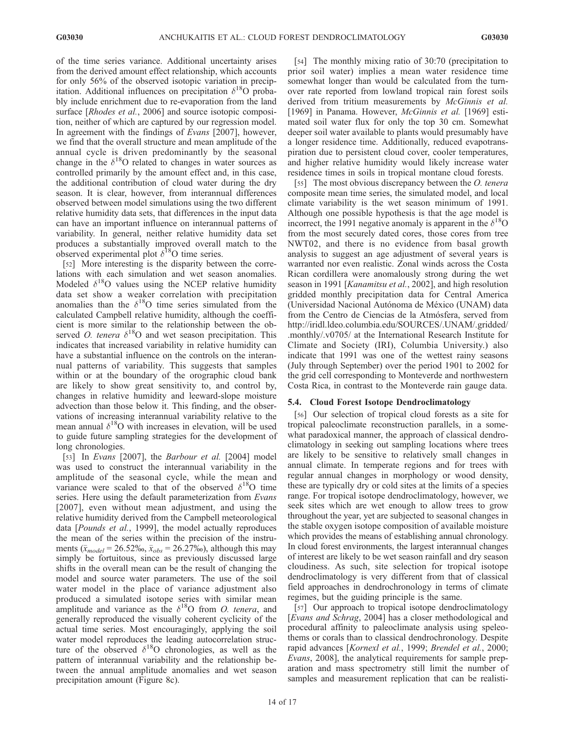of the time series variance. Additional uncertainty arises from the derived amount effect relationship, which accounts for only 56% of the observed isotopic variation in precipitation. Additional influences on precipitation  $\delta^{18}$ O probably include enrichment due to re-evaporation from the land surface [*Rhodes et al.*, 2006] and source isotopic composition, neither of which are captured by our regression model. In agreement with the findings of Evans [2007], however, we find that the overall structure and mean amplitude of the annual cycle is driven predominantly by the seasonal change in the  $\delta^{18}$ O related to changes in water sources as controlled primarily by the amount effect and, in this case, the additional contribution of cloud water during the dry season. It is clear, however, from interannual differences observed between model simulations using the two different relative humidity data sets, that differences in the input data can have an important influence on interannual patterns of variability. In general, neither relative humidity data set produces a substantially improved overall match to the observed experimental plot  $\delta^{18}$ O time series.

[52] More interesting is the disparity between the correlations with each simulation and wet season anomalies. Modeled  $\delta^{18}O$  values using the NCEP relative humidity data set show a weaker correlation with precipitation anomalies than the  $\delta^{18}$ O time series simulated from the calculated Campbell relative humidity, although the coefficient is more similar to the relationship between the observed O. tenera  $\delta^{18}$ O and wet season precipitation. This indicates that increased variability in relative humidity can have a substantial influence on the controls on the interannual patterns of variability. This suggests that samples within or at the boundary of the orographic cloud bank are likely to show great sensitivity to, and control by, changes in relative humidity and leeward-slope moisture advection than those below it. This finding, and the observations of increasing interannual variability relative to the mean annual  $\delta^{18}O$  with increases in elevation, will be used to guide future sampling strategies for the development of long chronologies.

[53] In Evans [2007], the Barbour et al. [2004] model was used to construct the interannual variability in the amplitude of the seasonal cycle, while the mean and variance were scaled to that of the observed  $\delta^{18}$ O time series. Here using the default parameterization from Evans [2007], even without mean adjustment, and using the relative humidity derived from the Campbell meteorological data [Pounds et al., 1999], the model actually reproduces the mean of the series within the precision of the instruments ( $\bar{x}_{model} = 26.52\%$ ,  $\bar{x}_{obs} = 26.27\%$ ), although this may simply be fortuitous, since as previously discussed large shifts in the overall mean can be the result of changing the model and source water parameters. The use of the soil water model in the place of variance adjustment also produced a simulated isotope series with similar mean amplitude and variance as the  $\delta^{18}$ O from *O. tenera*, and generally reproduced the visually coherent cyclicity of the actual time series. Most encouragingly, applying the soil water model reproduces the leading autocorrelation structure of the observed  $\delta^{18}O$  chronologies, as well as the pattern of interannual variability and the relationship between the annual amplitude anomalies and wet season precipitation amount (Figure 8c).

[54] The monthly mixing ratio of 30:70 (precipitation to prior soil water) implies a mean water residence time somewhat longer than would be calculated from the turnover rate reported from lowland tropical rain forest soils derived from tritium measurements by McGinnis et al. [1969] in Panama. However, *McGinnis et al.* [1969] estimated soil water flux for only the top 30 cm. Somewhat deeper soil water available to plants would presumably have a longer residence time. Additionally, reduced evapotranspiration due to persistent cloud cover, cooler temperatures, and higher relative humidity would likely increase water residence times in soils in tropical montane cloud forests.

[55] The most obvious discrepancy between the *O. tenera* composite mean time series, the simulated model, and local climate variability is the wet season minimum of 1991. Although one possible hypothesis is that the age model is incorrect, the 1991 negative anomaly is apparent in the  $\delta^{18}O$ from the most securely dated cores, those cores from tree NWT02, and there is no evidence from basal growth analysis to suggest an age adjustment of several years is warranted nor even realistic. Zonal winds across the Costa Rican cordillera were anomalously strong during the wet season in 1991 [*Kanamitsu et al.*, 2002], and high resolution gridded monthly precipitation data for Central America (Universidad Nacional Autónoma de México (UNAM) data from the Centro de Ciencias de la Atmósfera, served from http://iridl.ldeo.columbia.edu/SOURCES/.UNAM/.gridded/ .monthly/.v0705/ at the International Research Institute for Climate and Society (IRI), Columbia University.) also indicate that 1991 was one of the wettest rainy seasons (July through September) over the period 1901 to 2002 for the grid cell corresponding to Monteverde and northwestern Costa Rica, in contrast to the Monteverde rain gauge data.

## 5.4. Cloud Forest Isotope Dendroclimatology

[56] Our selection of tropical cloud forests as a site for tropical paleoclimate reconstruction parallels, in a somewhat paradoxical manner, the approach of classical dendroclimatology in seeking out sampling locations where trees are likely to be sensitive to relatively small changes in annual climate. In temperate regions and for trees with regular annual changes in morphology or wood density, these are typically dry or cold sites at the limits of a species range. For tropical isotope dendroclimatology, however, we seek sites which are wet enough to allow trees to grow throughout the year, yet are subjected to seasonal changes in the stable oxygen isotope composition of available moisture which provides the means of establishing annual chronology. In cloud forest environments, the largest interannual changes of interest are likely to be wet season rainfall and dry season cloudiness. As such, site selection for tropical isotope dendroclimatology is very different from that of classical field approaches in dendrochronology in terms of climate regimes, but the guiding principle is the same.

[57] Our approach to tropical isotope dendroclimatology [Evans and Schrag, 2004] has a closer methodological and procedural affinity to paleoclimate analysis using speleothems or corals than to classical dendrochronology. Despite rapid advances [Kornexl et al., 1999; Brendel et al., 2000; Evans, 2008], the analytical requirements for sample preparation and mass spectrometry still limit the number of samples and measurement replication that can be realisti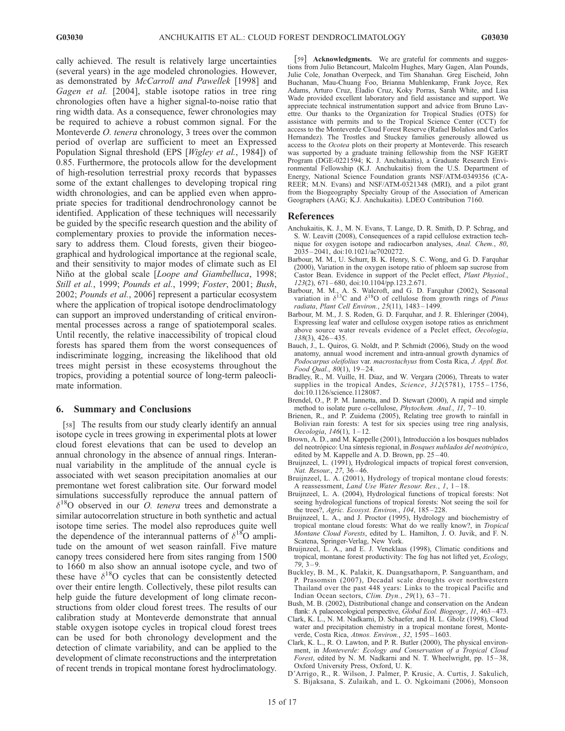cally achieved. The result is relatively large uncertainties (several years) in the age modeled chronologies. However, as demonstrated by McCarroll and Pawellek [1998] and Gagen et al. [2004], stable isotope ratios in tree ring chronologies often have a higher signal-to-noise ratio that ring width data. As a consequence, fewer chronologies may be required to achieve a robust common signal. For the Monteverde *O. tenera* chronology, 3 trees over the common period of overlap are sufficient to meet an Expressed Population Signal threshold (EPS [Wigley et al., 1984]) of 0.85. Furthermore, the protocols allow for the development of high-resolution terrestrial proxy records that bypasses some of the extant challenges to developing tropical ring width chronologies, and can be applied even when appropriate species for traditional dendrochronology cannot be identified. Application of these techniques will necessarily be guided by the specific research question and the ability of complementary proxies to provide the information necessary to address them. Cloud forests, given their biogeographical and hydrological importance at the regional scale, and their sensitivity to major modes of climate such as El Niño at the global scale [Loope and Giambelluca, 1998; Still et al., 1999; Pounds et al., 1999; Foster, 2001; Bush, 2002; Pounds et al., 2006] represent a particular ecosystem where the application of tropical isotope dendroclimatology can support an improved understanding of critical environmental processes across a range of spatiotemporal scales. Until recently, the relative inaccessibility of tropical cloud forests has spared them from the worst consequences of indiscriminate logging, increasing the likelihood that old trees might persist in these ecosystems throughout the tropics, providing a potential source of long-term paleoclimate information.

#### 6. Summary and Conclusions

[58] The results from our study clearly identify an annual isotope cycle in trees growing in experimental plots at lower cloud forest elevations that can be used to develop an annual chronology in the absence of annual rings. Interannual variability in the amplitude of the annual cycle is associated with wet season precipitation anomalies at our premontane wet forest calibration site. Our forward model simulations successfully reproduce the annual pattern of  $\delta^{18}$ O observed in our *O. tenera* trees and demonstrate a similar autocorrelation structure in both synthetic and actual isotope time series. The model also reproduces quite well the dependence of the interannual patterns of  $\delta^{18}$ O amplitude on the amount of wet season rainfall. Five mature canopy trees considered here from sites ranging from 1500 to 1660 m also show an annual isotope cycle, and two of these have  $\delta^{18}$ O cycles that can be consistently detected over their entire length. Collectively, these pilot results can help guide the future development of long climate reconstructions from older cloud forest trees. The results of our calibration study at Monteverde demonstrate that annual stable oxygen isotope cycles in tropical cloud forest trees can be used for both chronology development and the detection of climate variability, and can be applied to the development of climate reconstructions and the interpretation of recent trends in tropical montane forest hydroclimatology.

[59] Acknowledgments. We are grateful for comments and suggestions from Julio Betancourt, Malcolm Hughes, Mary Gagen, Alan Pounds, Julie Cole, Jonathan Overpeck, and Tim Shanahan. Greg Eischeid, John Buchanan, Mau-Chuang Foo, Brianna Muhlenkamp, Frank Joyce, Rex Adams, Arturo Cruz, Eladio Cruz, Koky Porras, Sarah White, and Lisa Wade provided excellent laboratory and field assistance and support. We appreciate technical instrumentation support and advice from Bruno Lavettre. Our thanks to the Organization for Tropical Studies (OTS) for assistance with permits and to the Tropical Science Center (CCT) for access to the Monteverde Cloud Forest Reserve (Rafael Bolaños and Carlos Hernandez). The Trostles and Stuckey families generously allowed us access to the Ocotea plots on their property at Monteverde. This research was supported by a graduate training fellowship from the NSF IGERT Program (DGE-0221594; K. J. Anchukaitis), a Graduate Research Environmental Fellowship (K.J. Anchukaitis) from the U.S. Department of Energy, National Science Foundation grants NSF/ATM-0349356 (CA-REER; M.N. Evans) and NSF/ATM-0321348 (MRI), and a pilot grant from the Biogeography Specialty Group of the Association of American Geographers (AAG; K.J. Anchukaitis). LDEO Contribution 7160.

#### References

- Anchukaitis, K. J., M. N. Evans, T. Lange, D. R. Smith, D. P. Schrag, and S. W. Leavitt (2008), Consequences of a rapid cellulose extraction technique for oxygen isotope and radiocarbon analyses, Anal. Chem., 80, 2035 – 2041, doi:10.1021/ac7020272.
- Barbour, M. M., U. Schurr, B. K. Henry, S. C. Wong, and G. D. Farquhar (2000), Variation in the oxygen isotope ratio of phloem sap sucrose from Castor Bean. Evidence in support of the Peclet effect, Plant Physiol.,  $123(2)$ , 671–680, doi:10.1104/pp.123.2.671.
- Barbour, M. M., A. S. Walcroft, and G. D. Farquhar (2002), Seasonal variation in  $\delta^{13}C$  and  $\delta^{18}O$  of cellulose from growth rings of *Pinus* radiata, Plant Cell Environ., 25(11), 1483 – 1499.
- Barbour, M. M., J. S. Roden, G. D. Farquhar, and J. R. Ehleringer (2004), Expressing leaf water and cellulose oxygen isotope ratios as enrichment above source water reveals evidence of a Peclet effect, Oecologia, 138(3), 426 – 435.
- Bauch, J., L. Quiros, G. Noldt, and P. Schmidt (2006), Study on the wood anatomy, annual wood increment and intra-annual growth dynamics of Podocarpus oleifolius var. macrostachyus from Costa Rica, J. Appl. Bot. Food Qual., 80(1), 19-24.
- Bradley, R., M. Vuille, H. Diaz, and W. Vergara (2006), Threats to water supplies in the tropical Andes, Science, 312(5781), 1755-1756, doi:10.1126/science.1128087.
- Brendel, O., P. P. M. Iannetta, and D. Stewart (2000), A rapid and simple method to isolate pure  $\alpha$ -cellulose, *Phytochem. Anal.*, 11, 7–10.
- Brienen, R., and P. Zuidema (2005), Relating tree growth to rainfall in Bolivian rain forests: A test for six species using tree ring analysis, Oecologia,  $146(1)$ ,  $1-12$ .
- Brown, A. D., and M. Kappelle (2001), Introducción a los bosques nublados del neotrópico: Una síntesis regional, in Bosques nublados del neotrópico, edited by M. Kappelle and A. D. Brown, pp. 25 – 40.
- Bruijnzeel, L. (1991), Hydrological impacts of tropical forest conversion, Nat. Resour., 27, 36-46.
- Bruijnzeel, L. A. (2001), Hydrology of tropical montane cloud forests: A reassessment, Land Use Water Resour. Res., 1, 1-18.
- Bruijnzeel, L. A. (2004), Hydrological functions of tropical forests: Not seeing hydrological functions of tropical forests: Not seeing the soil for the trees?, Agric. Ecosyst. Environ., 104, 185-228.
- Bruijnzeel, L. A., and J. Proctor (1995), Hydrology and biochemistry of tropical montane cloud forests: What do we really know?, in Tropical Montane Cloud Forests, edited by L. Hamilton, J. O. Juvik, and F. N. Scatena, Springer-Verlag, New York.
- Bruijnzeel, L. A., and E. J. Veneklaas (1998), Climatic conditions and tropical, montane forest productivity: The fog has not lifted yet, Ecology,  $79, 3 - 9.$
- Buckley, B. M., K. Palakit, K. Duangsathaporn, P. Sanguantham, and P. Prasomsin (2007), Decadal scale droughts over northwestern Thailand over the past 448 years: Links to the tropical Pacific and Indian Ocean sectors, Clim. Dyn.,  $29(1)$ ,  $63-71$ .
- Bush, M. B. (2002), Distributional change and conservation on the Andean flank: A palaeoecological perspective, Global Ecol. Biogeogr., 11, 463-473.
- Clark, K. L., N. M. Nadkarni, D. Schaefer, and H. L. Gholz (1998), Cloud water and precipitation chemistry in a tropical montane forest, Monteverde, Costa Rica, Atmos. Environ., 32, 1595-1603.
- Clark, K. L., R. O. Lawton, and P. R. Butler (2000), The physical environment, in Monteverde: Ecology and Conservation of a Tropical Cloud Forest, edited by N. M. Nadkarni and N. T. Wheelwright, pp.  $15-38$ , Oxford University Press, Oxford, U. K.
- D'Arrigo, R., R. Wilson, J. Palmer, P. Krusic, A. Curtis, J. Sakulich, S. Bijaksana, S. Zulaikah, and L. O. Ngkoimani (2006), Monsoon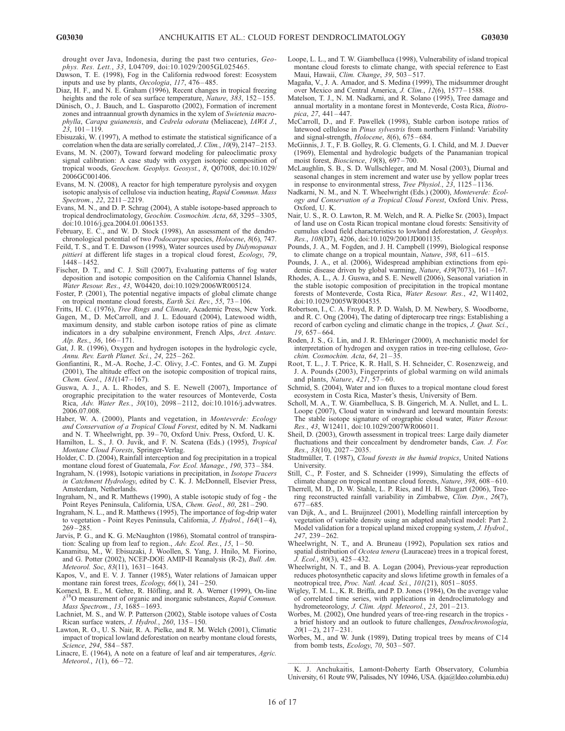drought over Java, Indonesia, during the past two centuries, Geophys. Res. Lett., 33, L04709, doi:10.1029/2005GL025465.

- Dawson, T. E. (1998), Fog in the California redwood forest: Ecosystem inputs and use by plants, Oecologia, 117, 476 – 485.
- Diaz, H. F., and N. E. Graham (1996), Recent changes in tropical freezing heights and the role of sea surface temperature, Nature,  $383$ ,  $152 - 155$ .
- Dünisch, O., J. Bauch, and L. Gasparotto (2002), Formation of increment zones and intraannual growth dynamics in the xylem of Swietenia macrophylla, Carapa guianensis, and Cedrela odorata (Meliaceae), IAWA J.,  $23.101 - 119.$
- Ebisuzaki, W. (1997), A method to estimate the statistical significance of a correlation when the data are serially correlated, J. Clim.,  $10(9)$ ,  $2147-2153$ .
- Evans, M. N. (2007), Toward forward modeling for paleoclimatic proxy signal calibration: A case study with oxygen isotopic composition of tropical woods, Geochem. Geophys. Geosyst., 8, Q07008, doi:10.1029/ 2006GC001406.
- Evans, M. N. (2008), A reactor for high temperature pyrolysis and oxygen isotopic analysis of cellulose via induction heating, Rapid Commun. Mass Spectrom., 22, 2211-2219.
- Evans, M. N., and D. P. Schrag (2004), A stable isotope-based approach to tropical dendroclimatology, Geochim. Cosmochim. Acta, 68, 3295 – 3305, doi:10.1016/j.gca.2004.01.0061353.
- February, E. C., and W. D. Stock (1998), An assessment of the dendrochronological potential of two Podocarpus species, Holocene, 8(6), 747.
- Feild, T. S., and T. E. Dawson (1998), Water sources used by Didymopanax pittieri at different life stages in a tropical cloud forest, Ecology, 79, 1448 – 1452.
- Fischer, D. T., and C. J. Still (2007), Evaluating patterns of fog water deposition and isotopic composition on the California Channel Islands, Water Resour. Res., 43, W04420, doi:10.1029/2006WR005124.
- Foster, P. (2001), The potential negative impacts of global climate change on tropical montane cloud forests, Earth Sci. Rev., 55, 73 – 106.
- Fritts, H. C. (1976), Tree Rings and Climate, Academic Press, New York.
- Gagen, M., D. McCarroll, and J. L. Edouard (2004), Latewood width, maximum density, and stable carbon isotope ratios of pine as climate indicators in a dry subalpine environment, French Alps, Arct. Antarc. Alp. Res., 36, 166-171.
- Gat, J. R. (1996), Oxygen and hydrogen isotopes in the hydrologic cycle, Annu. Rev. Earth Planet. Sci., 24, 225 – 262.
- Gonfiantini, R., M.-A. Roche, J.-C. Olivy, J.-C. Fontes, and G. M. Zuppi (2001), The altitude effect on the isotopic composition of tropical rains, Chem. Geol., 181(147-167).
- Guswa, A. J., A. L. Rhodes, and S. E. Newell (2007), Importance of orographic precipitation to the water resources of Monteverde, Costa Rica, Adv. Water Res., 30(10), 2098-2112, doi:10.1016/j.advwatres. 2006.07.008.
- Haber, W. A. (2000), Plants and vegetation, in Monteverde: Ecology and Conservation of a Tropical Cloud Forest, edited by N. M. Nadkarni and N. T. Wheelwright, pp. 39 – 70, Oxford Univ. Press, Oxford, U. K.
- Hamilton, L. S., J. O. Juvik, and F. N. Scatena (Eds.) (1995), Tropical Montane Cloud Forests, Springer-Verlag.
- Holder, C. D. (2004), Rainfall interception and fog precipitation in a tropical montane cloud forest of Guatemala, For. Ecol. Manage., 190, 373-384.
- Ingraham, N. (1998), Isotopic variations in precipitation, in Isotope Tracers in Catchment Hydrology, edited by C. K. J. McDonnell, Elsevier Press, Amsterdam, Netherlands.
- Ingraham, N., and R. Matthews (1990), A stable isotopic study of fog the Point Reyes Peninsula, California, USA, Chem. Geol., 80, 281 – 290.
- Ingraham, N. L., and R. Matthews (1995), The importance of fog-drip water to vegetation - Point Reyes Peninsula, California, J. Hydrol.,  $164(1-4)$ , 269 – 285.
- Jarvis, P. G., and K. G. McNaughton (1986), Stomatal control of transpiration: Scaling up from leaf to region., Adv. Ecol. Res., 15, 1-50.
- Kanamitsu, M., W. Ebisuzaki, J. Woollen, S. Yang, J. Hnilo, M. Fiorino, and G. Potter (2002), NCEP-DOE AMIP-II Reanalysis (R-2), Bull. Am. Meteorol. Soc, 83(11), 1631-1643.
- Kapos, V., and E. V. J. Tanner (1985), Water relations of Jamaican upper montane rain forest trees, Ecology, 66(1), 241-250.
- Kornexl, B. E., M. Gehre, R. Höfling, and R. A. Werner (1999), On-line O measurement of organic and inorganic substances, Rapid Commun. Mass Spectrom., 13, 1685-1693.
- Lachniet, M. S., and W. P. Patterson (2002), Stable isotope values of Costa Rican surface waters, J. Hydrol., 260, 135-150.
- Lawton, R. O., U. S. Nair, R. A. Pielke, and R. M. Welch (2001), Climatic impact of tropical lowland deforestation on nearby montane cloud forests, Science, 294, 584-587.
- Linacre, E. (1964), A note on a feature of leaf and air temperatures, Agric. Meteorol., 1(1), 66-72.
- Loope, L. L., and T. W. Giambelluca (1998), Vulnerability of island tropical montane cloud forests to climate change, with special reference to East Maui, Hawaii, Clim. Change, 39, 503-517.
- Magaña, V., J. A. Amador, and S. Medina (1999), The midsummer drought over Mexico and Central America, J. Clim., 12(6), 1577–1588.
- Matelson, T. J., N. M. Nadkarni, and R. Solano (1995), Tree damage and annual mortality in a montane forest in Monteverde, Costa Rica, Biotropica, 27, 441 – 447.
- McCarroll, D., and F. Pawellek (1998), Stable carbon isotope ratios of latewood cellulose in Pinus sylvestris from northern Finland: Variability and signal-strength,  $Holocene$ ,  $8(6)$ ,  $675-684$ .
- McGinnis, J. T., F. B. Golley, R. G. Clements, G. I. Child, and M. J. Duever (1969), Elemental and hydrologic budgets of the Panamanian tropical moist forest, Bioscience, 19(8), 697 – 700.
- McLaughlin, S. B., S. D. Wullschleger, and M. Nosal (2003), Diurnal and seasonal changes in stem increment and water use by yellow poplar trees in response to environmental stress, *Tree Physiol.*, 23, 1125-1136.
- Nadkarni, N. M., and N. T. Wheelwright (Eds.) (2000), Monteverde: Ecology and Conservation of a Tropical Cloud Forest, Oxford Univ. Press, Oxford, U. K.
- Nair, U. S., R. O. Lawton, R. M. Welch, and R. A. Pielke Sr. (2003), Impact of land use on Costa Rican tropical montane cloud forests: Sensitivity of cumulus cloud field characteristics to lowland deforestation, J. Geophys. Res., 108(D7), 4206, doi:10.1029/2001JD001135.
- Pounds, J. A., M. Fogden, and J. H. Campbell (1999), Biological response to climate change on a tropical mountain, Nature, 398, 611-615.
- Pounds, J. A., et al. (2006), Widespread amphibian extinctions from epidemic disease driven by global warming,  $\hat{N}$ ature, 439(7073), 161-167.
- Rhodes, A. L., A. J. Guswa, and S. E. Newell (2006), Seasonal variation in the stable isotopic composition of precipitation in the tropical montane forests of Monteverde, Costa Rica, Water Resour. Res., 42, W11402, doi:10.1029/2005WR004535.
- Robertson, I., C. A. Froyd, R. P. D. Walsh, D. M. Newbery, S. Woodborne, and R. C. Ong (2004), The dating of dipterocarp tree rings: Establishing a record of carbon cycling and climatic change in the tropics, J. Quat. Sci., 19, 657 – 664.
- Roden, J. S., G. Lin, and J. R. Ehleringer (2000), A mechanistic model for interpretation of hydrogen and oxygen ratios in tree-ring cellulose, Geochim. Cosmochim. Acta, 64,  $21 - 35$ .
- Root, T. L., J. T. Price, K. R. Hall, S. H. Schneider, C. Rosenzweig, and J. A. Pounds (2003), Fingerprints of global warming on wild animals and plants, Nature, 421, 57 – 60.
- Schmid, S. (2004), Water and ion fluxes to a tropical montane cloud forest ecosystem in Costa Rica, Master's thesis, University of Bern.
- Scholl, M. A., T. W. Giambelluca, S. B. Gingerich, M. A. Nullet, and L. L. Loope (2007), Cloud water in windward and leeward mountain forests: The stable isotope signature of orographic cloud water, Water Resour. Res., 43, W12411, doi:10.1029/2007WR006011.
- Sheil, D. (2003), Growth assessment in tropical trees: Large daily diameter fluctuations and their concealment by dendrometer bands, Can. J. For.  $Res., 33(10), 2027 - 2035.$
- Stadtmüller, T. (1987), Cloud forests in the humid tropics, United Nations University.
- Still, C., P. Foster, and S. Schneider (1999), Simulating the effects of climate change on tropical montane cloud forests, Nature, 398, 608-610.
- Therrell, M. D., D. W. Stahle, L. P. Ries, and H. H. Shugart (2006), Treering reconstructed rainfall variability in Zimbabwe, Clim. Dyn., 26(7),  $677 - 685.$
- van Dijk, A., and L. Bruijnzeel (2001), Modelling rainfall interception by vegetation of variable density using an adapted analytical model: Part 2. Model validation for a tropical upland mixed cropping system, J. Hydrol., 247, 239 – 262.
- Wheelwright, N. T., and A. Bruneau (1992), Population sex ratios and spatial distribution of Ocotea tenera (Lauraceae) trees in a tropical forest, J. Ecol., 80(3), 425 – 432.
- Wheelwright, N. T., and B. A. Logan (2004), Previous-year reproduction reduces photosynthetic capacity and slows lifetime growth in females of a neotropical tree, Proc. Natl. Acad. Sci., 101(21), 8051-8055.
- Wigley, T. M. L., K. R. Briffa, and P. D. Jones (1984), On the average value of correlated time series, with applications in dendroclimatology and hydrometeorology, J. Clim. Appl. Meteorol., 23, 201-213.
- Worbes, M. (2002), One hundred years of tree-ring research in the tropics a brief history and an outlook to future challenges, Dendrochronologia,  $20(1-2), 217-231.$
- Worbes, M., and W. Junk (1989), Dating tropical trees by means of C14 from bomb tests, Ecology, 70, 503 – 507.

 K. J. Anchukaitis, Lamont-Doherty Earth Observatory, Columbia University, 61 Route 9W, Palisades, NY 10946, USA. (kja@ldeo.columbia.edu)